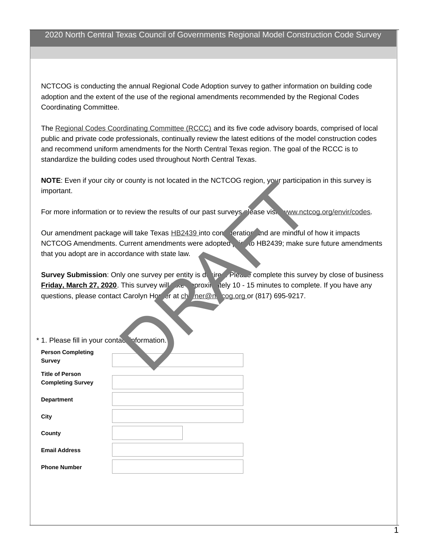NCTCOG is conducting the annual Regional Code Adoption survey to gather information on building code adoption and the extent of the use of the regional amendments recommended by the Regional Codes Coordinating Committee.

The [Regional Codes Coordinating Committee \(RCCC\)](http://www.nctcog.org/envir/committees/rccc/index.asp) and its five code advisory boards, comprised of local public and private code professionals, continually review the latest editions of the model construction codes and recommend uniform amendments for the North Central Texas region. The goal of the RCCC is to standardize the building codes used throughout North Central Texas.

**NOTE**: Even if your city or county is not located in the NCTCOG region, your participation in this survey is important.

For more information or to review the results of our past surveys please visit [www.nctcog.org/envir/codes](http://www.nctcog.org/envir/SEEDevEx/codes/index.asp).

Our amendment package will take Texas HB2439 into constrict and are mindful of how it impacts NCTCOG Amendments. Current amendments were adopted prior to HB2439; make sure future amendments that you adopt are in accordance with state law.

**Survey Submission**: Only one survey per entity is desired. Please complete this survey by close of business **Friday, March 27, 2020**. This survey will take approximately 10 - 15 minutes to complete. If you have any questions, please contact Carolyn Horner at chorner@nctcog.org or (817) 695-9217.

| important.                                    | NOTE: Even if your city or county is not located in the NCTCOG region, your participa                                                                                                                          |
|-----------------------------------------------|----------------------------------------------------------------------------------------------------------------------------------------------------------------------------------------------------------------|
|                                               | For more information or to review the results of our past surveys please visit www.nct                                                                                                                         |
|                                               | Our amendment package will take Texas HB2439 into con eratior and are mindful c<br>NCTCOG Amendments. Current amendments were adopted and DHB2439; make so<br>that you adopt are in accordance with state law. |
|                                               | <b>Survey Submission:</b> Only one survey per entity is device the complete this survey                                                                                                                        |
|                                               | <b>Friday, March 27, 2020</b> . This survey will we proxice tely 10 - 15 minutes to complete                                                                                                                   |
|                                               | questions, please contact Carolyn Hore of at changer and cog.org or (817) 695-9217.                                                                                                                            |
|                                               |                                                                                                                                                                                                                |
|                                               |                                                                                                                                                                                                                |
|                                               |                                                                                                                                                                                                                |
| * 1. Please fill in your contace information. |                                                                                                                                                                                                                |
| <b>Person Completing</b>                      |                                                                                                                                                                                                                |
| <b>Survey</b>                                 |                                                                                                                                                                                                                |
| <b>Title of Person</b>                        |                                                                                                                                                                                                                |
| <b>Completing Survey</b>                      |                                                                                                                                                                                                                |
| <b>Department</b>                             |                                                                                                                                                                                                                |
|                                               |                                                                                                                                                                                                                |
| City                                          |                                                                                                                                                                                                                |
| County                                        |                                                                                                                                                                                                                |
| <b>Email Address</b>                          |                                                                                                                                                                                                                |
| <b>Phone Number</b>                           |                                                                                                                                                                                                                |
|                                               |                                                                                                                                                                                                                |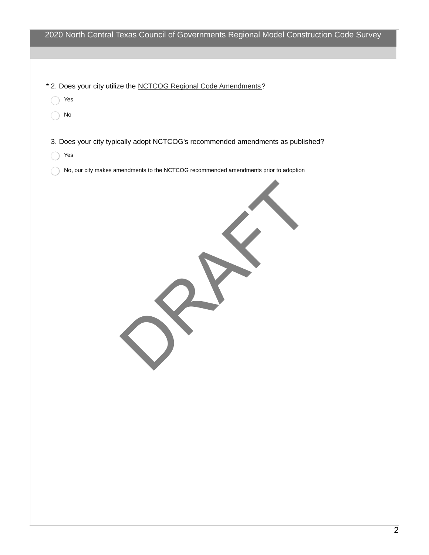| * 2. Does your city utilize the NCTCOG Regional Code Amendments?<br>Yes<br>$\operatorname{\mathsf{No}}$<br>3. Does your city typically adopt NCTCOG's recommended amendments as published?<br>Yes<br>No, our city makes amendments to the NCTCOG recommended amendments prior to adoption | 2020 North Central Texas Council of Governments Regional Model Construction Code Survey |
|-------------------------------------------------------------------------------------------------------------------------------------------------------------------------------------------------------------------------------------------------------------------------------------------|-----------------------------------------------------------------------------------------|
|                                                                                                                                                                                                                                                                                           |                                                                                         |
|                                                                                                                                                                                                                                                                                           |                                                                                         |
|                                                                                                                                                                                                                                                                                           |                                                                                         |
|                                                                                                                                                                                                                                                                                           |                                                                                         |
|                                                                                                                                                                                                                                                                                           |                                                                                         |
|                                                                                                                                                                                                                                                                                           |                                                                                         |
|                                                                                                                                                                                                                                                                                           |                                                                                         |
|                                                                                                                                                                                                                                                                                           |                                                                                         |
|                                                                                                                                                                                                                                                                                           |                                                                                         |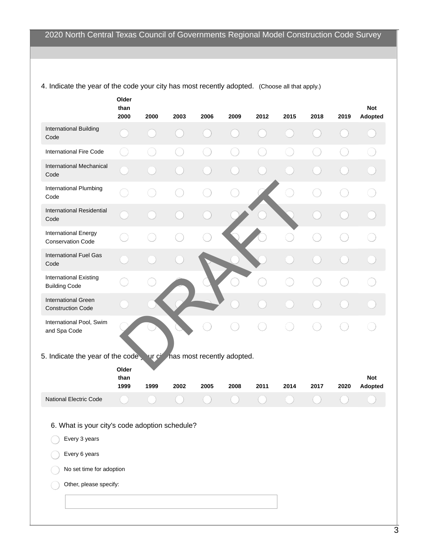|                                                                 | Older<br>than<br>2000 | 2000 | 2003 | 2006 | 2009                                         | 2012 | 2015 | 2018 | 2019 | <b>Not</b><br>Adopted |
|-----------------------------------------------------------------|-----------------------|------|------|------|----------------------------------------------|------|------|------|------|-----------------------|
| <b>International Building</b><br>Code                           |                       |      |      |      |                                              |      |      |      |      |                       |
| <b>International Fire Code</b>                                  |                       |      |      |      |                                              |      |      |      |      |                       |
| <b>International Mechanical</b><br>Code                         |                       |      |      |      |                                              |      |      |      |      |                       |
| International Plumbing<br>Code                                  |                       |      |      |      |                                              |      |      |      |      |                       |
| <b>International Residential</b><br>Code                        |                       |      |      |      |                                              |      |      |      |      |                       |
| <b>International Energy</b><br><b>Conservation Code</b>         |                       |      |      |      |                                              |      |      |      |      |                       |
| <b>International Fuel Gas</b><br>Code                           |                       |      |      |      |                                              |      |      |      |      |                       |
| <b>International Existing</b><br><b>Building Code</b>           |                       |      |      |      |                                              |      |      |      |      |                       |
| <b>International Green</b><br><b>Construction Code</b>          |                       |      |      |      |                                              |      |      |      |      |                       |
| International Pool, Swim<br>and Spa Code                        |                       |      |      |      |                                              |      |      |      |      |                       |
| 5. Indicate the year of the code,                               |                       |      |      |      | ur c <sup>i</sup> has most recently adopted. |      |      |      |      |                       |
|                                                                 | Older<br>than<br>1999 | 1999 | 2002 | 2005 | 2008                                         |      |      |      |      | <b>Not</b>            |
| <b>National Electric Code</b>                                   |                       |      |      |      |                                              | 2011 | 2014 | 2017 | 2020 | Adopted               |
| 6. What is your city's code adoption schedule?<br>Every 3 years |                       |      |      |      |                                              |      |      |      |      |                       |
| Every 6 years                                                   |                       |      |      |      |                                              |      |      |      |      |                       |
| No set time for adoption                                        |                       |      |      |      |                                              |      |      |      |      |                       |
| Other, please specify:                                          |                       |      |      |      |                                              |      |      |      |      |                       |
|                                                                 |                       |      |      |      |                                              |      |      |      |      |                       |

4. Indicate the year of the code your city has most recently adopted. (Choose all that apply.)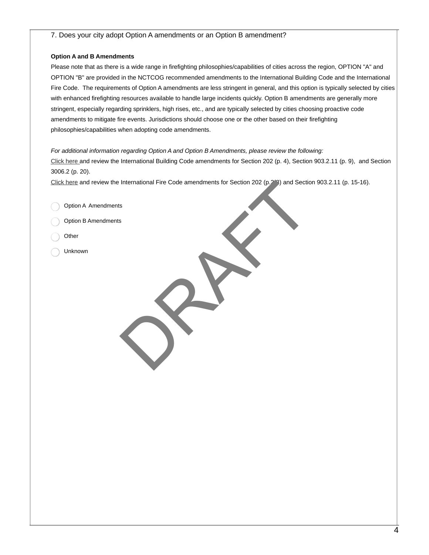## 7. Does your city adopt Option A amendments or an Option B amendment?

## **Option A and B Amendments**

Please note that as there is a wide range in firefighting philosophies/capabilities of cities across the region, OPTION "A" and OPTION "B" are provided in the NCTCOG recommended amendments to the International Building Code and the International Fire Code. The requirements of Option A amendments are less stringent in general, and this option is typically selected by cities with enhanced firefighting resources available to handle large incidents quickly. Option B amendments are generally more stringent, especially regarding sprinklers, high rises, etc., and are typically selected by cities choosing proactive code amendments to mitigate fire events. Jurisdictions should choose one or the other based on their firefighting philosophies/capabilities when adopting code amendments.

## *For additional information regarding Option A and Option B Amendments, please review the following:*

[Click here](https://www.nctcog.org/nctcg/media/Environment-and-Development/Documents/Codes/2018-IBC-Amendments_1.pdf) and review the International Building Code amendments for Section 202 (p. 4), Section 903.2.11 (p. 9), and Section 3006.2 (p. 20).

[Click here](https://www.nctcog.org/nctcg/media/Environment-and-Development/Documents/Codes/2018_IFC_Amendments_1.pdf) and review the International Fire Code amendments for Section 202 (p.2-3) and Section 903.2.11 (p. 15-16). International Fire Code amendments for Section 202 (p. 2) and Section

Option A Amendments

Option B Amendments

- **Other**
- Unknown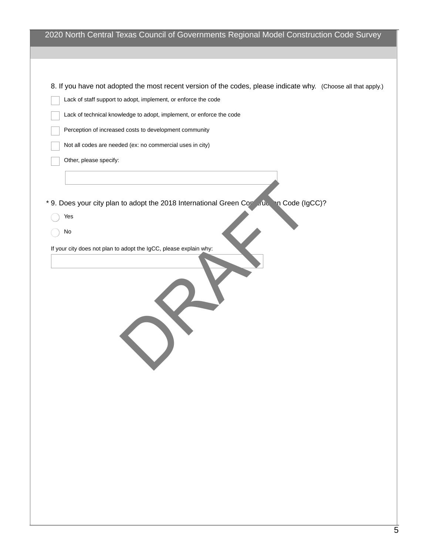| 2020 North Central Texas Council of Governments Regional Model Construction Code Survey                        |
|----------------------------------------------------------------------------------------------------------------|
|                                                                                                                |
|                                                                                                                |
|                                                                                                                |
| 8. If you have not adopted the most recent version of the codes, please indicate why. (Choose all that apply.) |
| Lack of staff support to adopt, implement, or enforce the code                                                 |
| Lack of technical knowledge to adopt, implement, or enforce the code                                           |
| Perception of increased costs to development community                                                         |
| Not all codes are needed (ex: no commercial uses in city)                                                      |
| Other, please specify:                                                                                         |
|                                                                                                                |
|                                                                                                                |
|                                                                                                                |
| * 9. Does your city plan to adopt the 2018 International Green Contration of Code (IgCC)?                      |
| Yes                                                                                                            |
| No                                                                                                             |
| If your city does not plan to adopt the IgCC, please explain why:                                              |
|                                                                                                                |
|                                                                                                                |
|                                                                                                                |
|                                                                                                                |
|                                                                                                                |
|                                                                                                                |
|                                                                                                                |
|                                                                                                                |
|                                                                                                                |
|                                                                                                                |
|                                                                                                                |
|                                                                                                                |
|                                                                                                                |
|                                                                                                                |
|                                                                                                                |
|                                                                                                                |
|                                                                                                                |
|                                                                                                                |
|                                                                                                                |
|                                                                                                                |
|                                                                                                                |